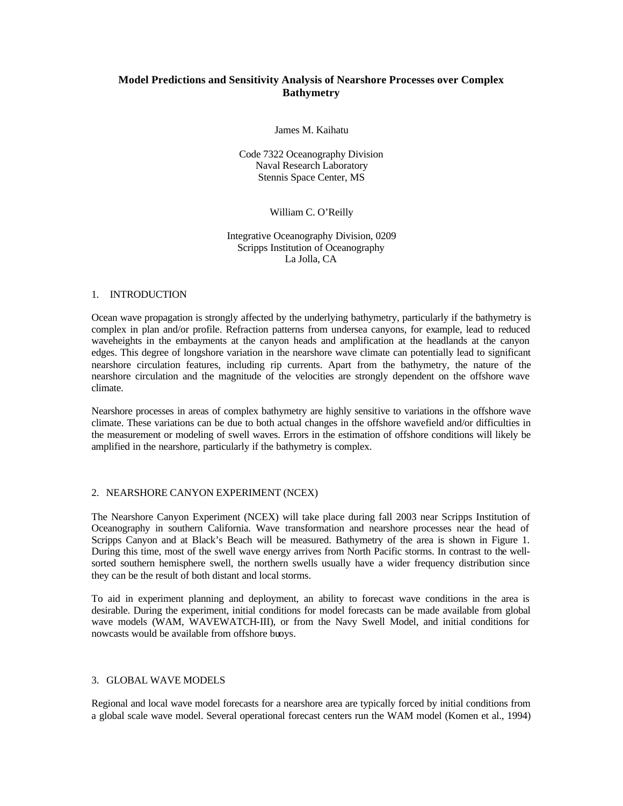# **Model Predictions and Sensitivity Analysis of Nearshore Processes over Complex Bathymetry**

James M. Kaihatu

Code 7322 Oceanography Division Naval Research Laboratory Stennis Space Center, MS

### William C. O'Reilly

#### Integrative Oceanography Division, 0209 Scripps Institution of Oceanography La Jolla, CA

#### 1. INTRODUCTION

Ocean wave propagation is strongly affected by the underlying bathymetry, particularly if the bathymetry is complex in plan and/or profile. Refraction patterns from undersea canyons, for example, lead to reduced waveheights in the embayments at the canyon heads and amplification at the headlands at the canyon edges. This degree of longshore variation in the nearshore wave climate can potentially lead to significant nearshore circulation features, including rip currents. Apart from the bathymetry, the nature of the nearshore circulation and the magnitude of the velocities are strongly dependent on the offshore wave climate.

Nearshore processes in areas of complex bathymetry are highly sensitive to variations in the offshore wave climate. These variations can be due to both actual changes in the offshore wavefield and/or difficulties in the measurement or modeling of swell waves. Errors in the estimation of offshore conditions will likely be amplified in the nearshore, particularly if the bathymetry is complex.

## 2. NEARSHORE CANYON EXPERIMENT (NCEX)

The Nearshore Canyon Experiment (NCEX) will take place during fall 2003 near Scripps Institution of Oceanography in southern California. Wave transformation and nearshore processes near the head of Scripps Canyon and at Black's Beach will be measured. Bathymetry of the area is shown in Figure 1. During this time, most of the swell wave energy arrives from North Pacific storms. In contrast to the wellsorted southern hemisphere swell, the northern swells usually have a wider frequency distribution since they can be the result of both distant and local storms.

To aid in experiment planning and deployment, an ability to forecast wave conditions in the area is desirable. During the experiment, initial conditions for model forecasts can be made available from global wave models (WAM, WAVEWATCH-III), or from the Navy Swell Model, and initial conditions for nowcasts would be available from offshore buoys.

#### 3. GLOBAL WAVE MODELS

Regional and local wave model forecasts for a nearshore area are typically forced by initial conditions from a global scale wave model. Several operational forecast centers run the WAM model (Komen et al., 1994)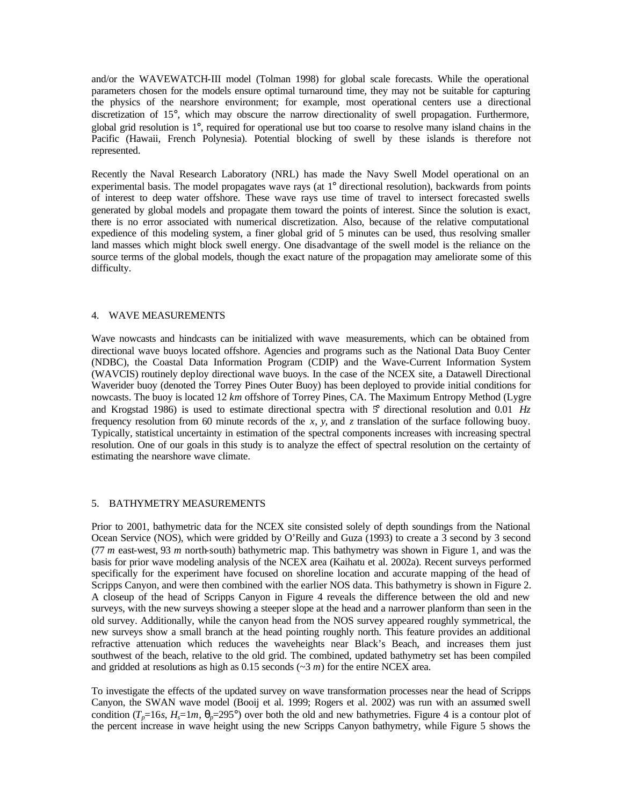and/or the WAVEWATCH-III model (Tolman 1998) for global scale forecasts. While the operational parameters chosen for the models ensure optimal turnaround time, they may not be suitable for capturing the physics of the nearshore environment; for example, most operational centers use a directional discretization of 15°, which may obscure the narrow directionality of swell propagation. Furthermore, global grid resolution is 1°, required for operational use but too coarse to resolve many island chains in the Pacific (Hawaii, French Polynesia). Potential blocking of swell by these islands is therefore not represented.

Recently the Naval Research Laboratory (NRL) has made the Navy Swell Model operational on an experimental basis. The model propagates wave rays (at 1° directional resolution), backwards from points of interest to deep water offshore. These wave rays use time of travel to intersect forecasted swells generated by global models and propagate them toward the points of interest. Since the solution is exact, there is no error associated with numerical discretization. Also, because of the relative computational expedience of this modeling system, a finer global grid of 5 minutes can be used, thus resolving smaller land masses which might block swell energy. One disadvantage of the swell model is the reliance on the source terms of the global models, though the exact nature of the propagation may ameliorate some of this difficulty.

## 4. WAVE MEASUREMENTS

Wave nowcasts and hindcasts can be initialized with wave measurements, which can be obtained from directional wave buoys located offshore. Agencies and programs such as the National Data Buoy Center (NDBC), the Coastal Data Information Program (CDIP) and the Wave-Current Information System (WAVCIS) routinely deploy directional wave buoys. In the case of the NCEX site, a Datawell Directional Waverider buoy (denoted the Torrey Pines Outer Buoy) has been deployed to provide initial conditions for nowcasts. The buoy is located 12 *km* offshore of Torrey Pines, CA. The Maximum Entropy Method (Lygre and Krogstad 1986) is used to estimate directional spectra with  $\mathcal{F}$  directional resolution and 0.01 *Hz* frequency resolution from 60 minute records of the *x*, *y*, and *z* translation of the surface following buoy. Typically, statistical uncertainty in estimation of the spectral components increases with increasing spectral resolution. One of our goals in this study is to analyze the effect of spectral resolution on the certainty of estimating the nearshore wave climate.

#### 5. BATHYMETRY MEASUREMENTS

Prior to 2001, bathymetric data for the NCEX site consisted solely of depth soundings from the National Ocean Service (NOS), which were gridded by O'Reilly and Guza (1993) to create a 3 second by 3 second (77 *m* east-west, 93 *m* north-south) bathymetric map. This bathymetry was shown in Figure 1, and was the basis for prior wave modeling analysis of the NCEX area (Kaihatu et al. 2002a). Recent surveys performed specifically for the experiment have focused on shoreline location and accurate mapping of the head of Scripps Canyon, and were then combined with the earlier NOS data. This bathymetry is shown in Figure 2. A closeup of the head of Scripps Canyon in Figure 4 reveals the difference between the old and new surveys, with the new surveys showing a steeper slope at the head and a narrower planform than seen in the old survey. Additionally, while the canyon head from the NOS survey appeared roughly symmetrical, the new surveys show a small branch at the head pointing roughly north. This feature provides an additional refractive attenuation which reduces the waveheights near Black's Beach, and increases them just southwest of the beach, relative to the old grid. The combined, updated bathymetry set has been compiled and gridded at resolutions as high as 0.15 seconds (~3 *m*) for the entire NCEX area.

To investigate the effects of the updated survey on wave transformation processes near the head of Scripps Canyon, the SWAN wave model (Booij et al. 1999; Rogers et al. 2002) was run with an assumed swell condition  $(T_p=16s, H_s=1m, q_p=295^\circ)$  over both the old and new bathymetries. Figure 4 is a contour plot of the percent increase in wave height using the new Scripps Canyon bathymetry, while Figure 5 shows the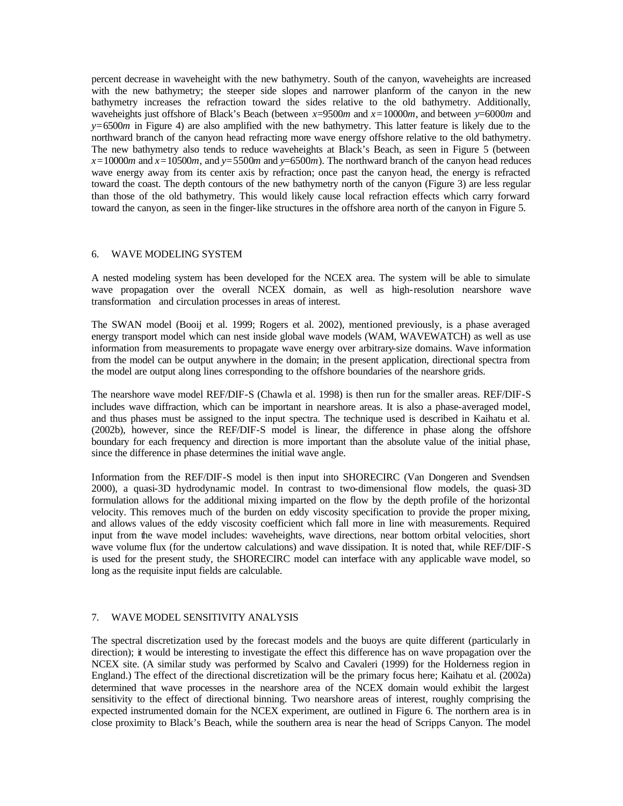percent decrease in waveheight with the new bathymetry. South of the canyon, waveheights are increased with the new bathymetry; the steeper side slopes and narrower planform of the canyon in the new bathymetry increases the refraction toward the sides relative to the old bathymetry. Additionally, waveheights just offshore of Black's Beach (between *x*=9500*m* and *x=*10000*m*, and between *y*=6000*m* and *y=*6500*m* in Figure 4) are also amplified with the new bathymetry. This latter feature is likely due to the northward branch of the canyon head refracting more wave energy offshore relative to the old bathymetry. The new bathymetry also tends to reduce waveheights at Black's Beach, as seen in Figure 5 (between  $x=10000$ *m* and  $x=10500$ *m*, and  $y=5500$ *m* and  $y=6500$ *m*). The northward branch of the canyon head reduces wave energy away from its center axis by refraction; once past the canyon head, the energy is refracted toward the coast. The depth contours of the new bathymetry north of the canyon (Figure 3) are less regular than those of the old bathymetry. This would likely cause local refraction effects which carry forward toward the canyon, as seen in the finger-like structures in the offshore area north of the canyon in Figure 5.

### 6. WAVE MODELING SYSTEM

A nested modeling system has been developed for the NCEX area. The system will be able to simulate wave propagation over the overall NCEX domain, as well as high-resolution nearshore wave transformation and circulation processes in areas of interest.

The SWAN model (Booij et al. 1999; Rogers et al. 2002), mentioned previously, is a phase averaged energy transport model which can nest inside global wave models (WAM, WAVEWATCH) as well as use information from measurements to propagate wave energy over arbitrary-size domains. Wave information from the model can be output anywhere in the domain; in the present application, directional spectra from the model are output along lines corresponding to the offshore boundaries of the nearshore grids.

The nearshore wave model REF/DIF-S (Chawla et al. 1998) is then run for the smaller areas. REF/DIF-S includes wave diffraction, which can be important in nearshore areas. It is also a phase-averaged model, and thus phases must be assigned to the input spectra. The technique used is described in Kaihatu et al. (2002b), however, since the REF/DIF-S model is linear, the difference in phase along the offshore boundary for each frequency and direction is more important than the absolute value of the initial phase, since the difference in phase determines the initial wave angle.

Information from the REF/DIF-S model is then input into SHORECIRC (Van Dongeren and Svendsen 2000), a quasi-3D hydrodynamic model. In contrast to two-dimensional flow models, the quasi-3D formulation allows for the additional mixing imparted on the flow by the depth profile of the horizontal velocity. This removes much of the burden on eddy viscosity specification to provide the proper mixing, and allows values of the eddy viscosity coefficient which fall more in line with measurements. Required input from the wave model includes: waveheights, wave directions, near bottom orbital velocities, short wave volume flux (for the undertow calculations) and wave dissipation. It is noted that, while REF/DIF-S is used for the present study, the SHORECIRC model can interface with any applicable wave model, so long as the requisite input fields are calculable.

## 7. WAVE MODEL SENSITIVITY ANALYSIS

The spectral discretization used by the forecast models and the buoys are quite different (particularly in direction); it would be interesting to investigate the effect this difference has on wave propagation over the NCEX site. (A similar study was performed by Scalvo and Cavaleri (1999) for the Holderness region in England.) The effect of the directional discretization will be the primary focus here; Kaihatu et al. (2002a) determined that wave processes in the nearshore area of the NCEX domain would exhibit the largest sensitivity to the effect of directional binning. Two nearshore areas of interest, roughly comprising the expected instrumented domain for the NCEX experiment, are outlined in Figure 6. The northern area is in close proximity to Black's Beach, while the southern area is near the head of Scripps Canyon. The model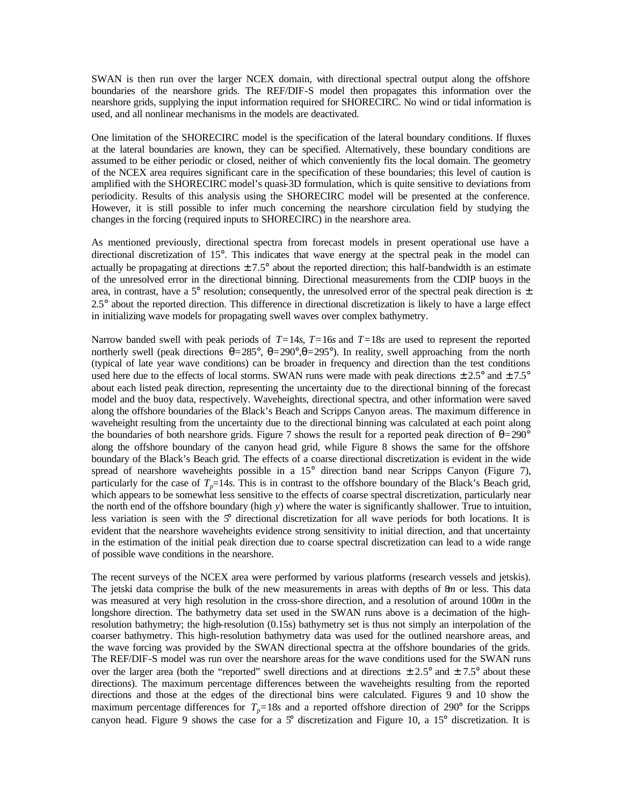SWAN is then run over the larger NCEX domain, with directional spectral output along the offshore boundaries of the nearshore grids. The REF/DIF-S model then propagates this information over the nearshore grids, supplying the input information required for SHORECIRC. No wind or tidal information is used, and all nonlinear mechanisms in the models are deactivated.

One limitation of the SHORECIRC model is the specification of the lateral boundary conditions. If fluxes at the lateral boundaries are known, they can be specified. Alternatively, these boundary conditions are assumed to be either periodic or closed, neither of which conveniently fits the local domain. The geometry of the NCEX area requires significant care in the specification of these boundaries; this level of caution is amplified with the SHORECIRC model's quasi-3D formulation, which is quite sensitive to deviations from periodicity. Results of this analysis using the SHORECIRC model will be presented at the conference. However, it is still possible to infer much concerning the nearshore circulation field by studying the changes in the forcing (required inputs to SHORECIRC) in the nearshore area.

As mentioned previously, directional spectra from forecast models in present operational use have a directional discretization of 15°. This indicates that wave energy at the spectral peak in the model can actually be propagating at directions  $\pm 7.5^{\circ}$  about the reported direction; this half-bandwidth is an estimate of the unresolved error in the directional binning. Directional measurements from the CDIP buoys in the area, in contrast, have a 5° resolution; consequently, the unresolved error of the spectral peak direction is  $\pm$ 2.5° about the reported direction. This difference in directional discretization is likely to have a large effect in initializing wave models for propagating swell waves over complex bathymetry.

Narrow banded swell with peak periods of *T=*14*s*, *T=*16*s* and *T=*18*s* are used to represent the reported northerly swell (peak directions *q=*285°, *q=*290°,*q=*295°). In reality, swell approaching from the north (typical of late year wave conditions) can be broader in frequency and direction than the test conditions used here due to the effects of local storms. SWAN runs were made with peak directions  $\pm 2.5^{\circ}$  and  $\pm 7.5^{\circ}$ about each listed peak direction, representing the uncertainty due to the directional binning of the forecast model and the buoy data, respectively. Waveheights, directional spectra, and other information were saved along the offshore boundaries of the Black's Beach and Scripps Canyon areas. The maximum difference in waveheight resulting from the uncertainty due to the directional binning was calculated at each point along the boundaries of both nearshore grids. Figure 7 shows the result for a reported peak direction of  $q=290^{\circ}$ along the offshore boundary of the canyon head grid, while Figure 8 shows the same for the offshore boundary of the Black's Beach grid. The effects of a coarse directional discretization is evident in the wide spread of nearshore waveheights possible in a 15° direction band near Scripps Canyon (Figure 7), particularly for the case of  $T_p=14s$ . This is in contrast to the offshore boundary of the Black's Beach grid, which appears to be somewhat less sensitive to the effects of coarse spectral discretization, particularly near the north end of the offshore boundary (high *y*) where the water is significantly shallower. True to intuition, less variation is seen with the 5° directional discretization for all wave periods for both locations. It is evident that the nearshore waveheights evidence strong sensitivity to initial direction, and that uncertainty in the estimation of the initial peak direction due to coarse spectral discretization can lead to a wide range of possible wave conditions in the nearshore.

The recent surveys of the NCEX area were performed by various platforms (research vessels and jetskis). The jetski data comprise the bulk of the new measurements in areas with depths of 8*m* or less. This data was measured at very high resolution in the cross-shore direction, and a resolution of around 100*m* in the longshore direction. The bathymetry data set used in the SWAN runs above is a decimation of the highresolution bathymetry; the high-resolution (0.15s) bathymetry set is thus not simply an interpolation of the coarser bathymetry. This high-resolution bathymetry data was used for the outlined nearshore areas, and the wave forcing was provided by the SWAN directional spectra at the offshore boundaries of the grids. The REF/DIF-S model was run over the nearshore areas for the wave conditions used for the SWAN runs over the larger area (both the "reported" swell directions and at directions  $\pm 2.5^{\circ}$  and  $\pm 7.5^{\circ}$  about these directions). The maximum percentage differences between the waveheights resulting from the reported directions and those at the edges of the directional bins were calculated. Figures 9 and 10 show the maximum percentage differences for  $T_p = 18s$  and a reported offshore direction of 290° for the Scripps canyon head. Figure 9 shows the case for a  $5^{\circ}$  discretization and Figure 10, a 15° discretization. It is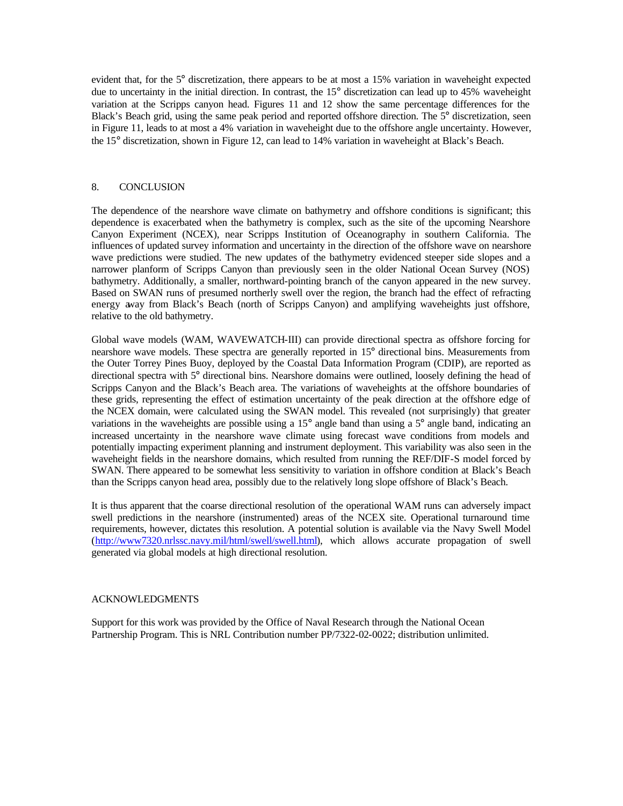evident that, for the 5° discretization, there appears to be at most a 15% variation in waveheight expected due to uncertainty in the initial direction. In contrast, the 15° discretization can lead up to 45% waveheight variation at the Scripps canyon head. Figures 11 and 12 show the same percentage differences for the Black's Beach grid, using the same peak period and reported offshore direction. The 5° discretization, seen in Figure 11, leads to at most a 4% variation in waveheight due to the offshore angle uncertainty. However, the 15° discretization, shown in Figure 12, can lead to 14% variation in waveheight at Black's Beach.

### 8. CONCLUSION

The dependence of the nearshore wave climate on bathymetry and offshore conditions is significant; this dependence is exacerbated when the bathymetry is complex, such as the site of the upcoming Nearshore Canyon Experiment (NCEX), near Scripps Institution of Oceanography in southern California. The influences of updated survey information and uncertainty in the direction of the offshore wave on nearshore wave predictions were studied. The new updates of the bathymetry evidenced steeper side slopes and a narrower planform of Scripps Canyon than previously seen in the older National Ocean Survey (NOS) bathymetry. Additionally, a smaller, northward-pointing branch of the canyon appeared in the new survey. Based on SWAN runs of presumed northerly swell over the region, the branch had the effect of refracting energy away from Black's Beach (north of Scripps Canyon) and amplifying waveheights just offshore, relative to the old bathymetry.

Global wave models (WAM, WAVEWATCH-III) can provide directional spectra as offshore forcing for nearshore wave models. These spectra are generally reported in 15° directional bins. Measurements from the Outer Torrey Pines Buoy, deployed by the Coastal Data Information Program (CDIP), are reported as directional spectra with 5° directional bins. Nearshore domains were outlined, loosely defining the head of Scripps Canyon and the Black's Beach area. The variations of waveheights at the offshore boundaries of these grids, representing the effect of estimation uncertainty of the peak direction at the offshore edge of the NCEX domain, were calculated using the SWAN model. This revealed (not surprisingly) that greater variations in the waveheights are possible using a 15° angle band than using a 5° angle band, indicating an increased uncertainty in the nearshore wave climate using forecast wave conditions from models and potentially impacting experiment planning and instrument deployment. This variability was also seen in the waveheight fields in the nearshore domains, which resulted from running the REF/DIF-S model forced by SWAN. There appeared to be somewhat less sensitivity to variation in offshore condition at Black's Beach than the Scripps canyon head area, possibly due to the relatively long slope offshore of Black's Beach.

It is thus apparent that the coarse directional resolution of the operational WAM runs can adversely impact swell predictions in the nearshore (instrumented) areas of the NCEX site. Operational turnaround time requirements, however, dictates this resolution. A potential solution is available via the Navy Swell Model (http://www7320.nrlssc.navy.mil/html/swell/swell.html), which allows accurate propagation of swell generated via global models at high directional resolution.

#### ACKNOWLEDGMENTS

Support for this work was provided by the Office of Naval Research through the National Ocean Partnership Program. This is NRL Contribution number PP/7322-02-0022; distribution unlimited.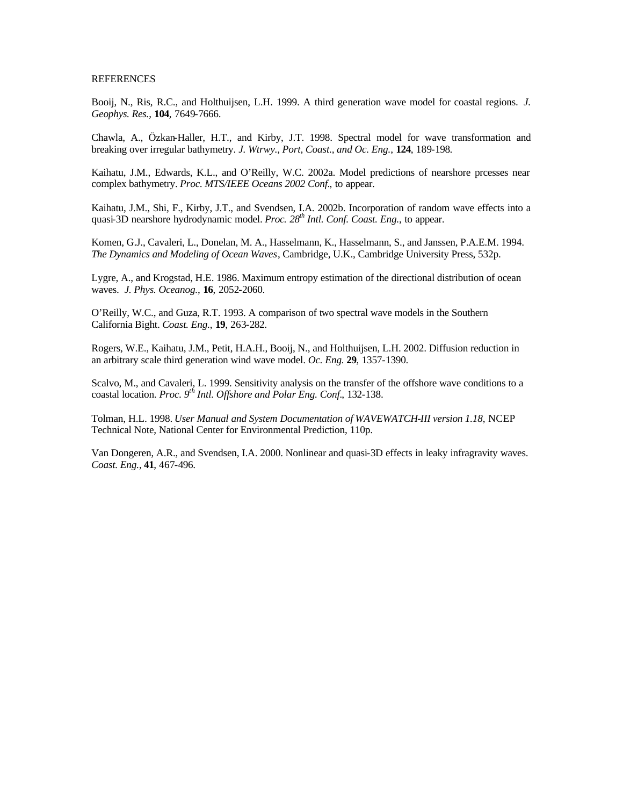#### **REFERENCES**

Booij, N., Ris, R.C., and Holthuijsen, L.H. 1999. A third generation wave model for coastal regions. *J. Geophys. Res.*, **104**, 7649-7666.

Chawla, A., Özkan-Haller, H.T., and Kirby, J.T. 1998. Spectral model for wave transformation and breaking over irregular bathymetry. *J. Wtrwy., Port, Coast., and Oc. Eng.*, **124**, 189-198.

Kaihatu, J.M., Edwards, K.L., and O'Reilly, W.C. 2002a. Model predictions of nearshore prcesses near complex bathymetry. *Proc. MTS/IEEE Oceans 2002 Conf.*, to appear.

Kaihatu, J.M., Shi, F., Kirby, J.T., and Svendsen, I.A. 2002b. Incorporation of random wave effects into a quasi-3D nearshore hydrodynamic model. *Proc. 28th Intl. Conf. Coast. Eng.*, to appear.

Komen, G.J., Cavaleri, L., Donelan, M. A., Hasselmann, K., Hasselmann, S., and Janssen, P.A.E.M. 1994. *The Dynamics and Modeling of Ocean Waves*, Cambridge, U.K., Cambridge University Press, 532p.

Lygre, A., and Krogstad, H.E. 1986. Maximum entropy estimation of the directional distribution of ocean waves. *J. Phys. Oceanog.*, **16**, 2052-2060.

O'Reilly, W.C., and Guza, R.T. 1993. A comparison of two spectral wave models in the Southern California Bight. *Coast. Eng.*, **19**, 263-282.

Rogers, W.E., Kaihatu, J.M., Petit, H.A.H., Booij, N., and Holthuijsen, L.H. 2002. Diffusion reduction in an arbitrary scale third generation wind wave model. *Oc. Eng.* **29**, 1357-1390.

Scalvo, M., and Cavaleri, L. 1999. Sensitivity analysis on the transfer of the offshore wave conditions to a coastal location. *Proc.* 9<sup>*th*</sup> *Intl. Offshore and Polar Eng. Conf.*, 132-138.

Tolman, H.L. 1998. *User Manual and System Documentation of WAVEWATCH-III version 1.18*, NCEP Technical Note, National Center for Environmental Prediction, 110p.

Van Dongeren, A.R., and Svendsen, I.A. 2000. Nonlinear and quasi-3D effects in leaky infragravity waves. *Coast. Eng.*, **41**, 467-496.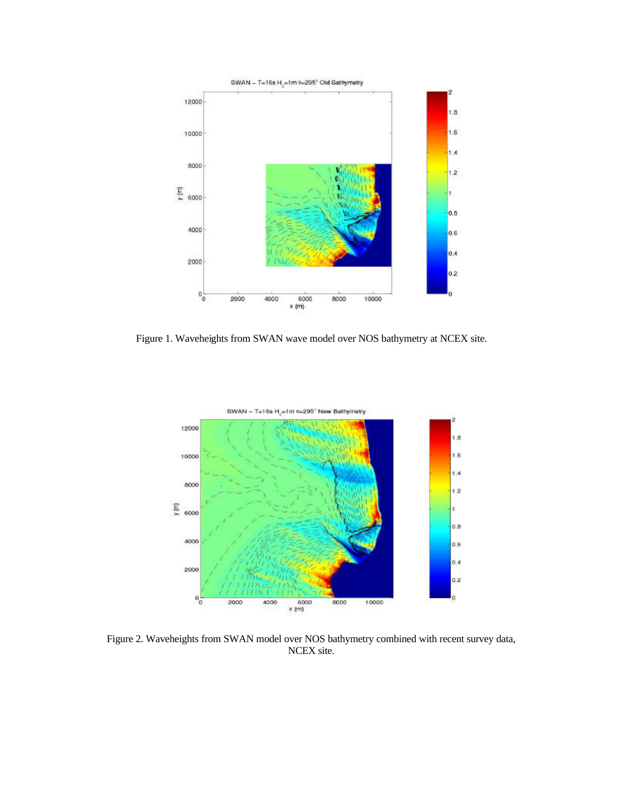

Figure 1. Waveheights from SWAN wave model over NOS bathymetry at NCEX site.



Figure 2. Waveheights from SWAN model over NOS bathymetry combined with recent survey data, NCEX site.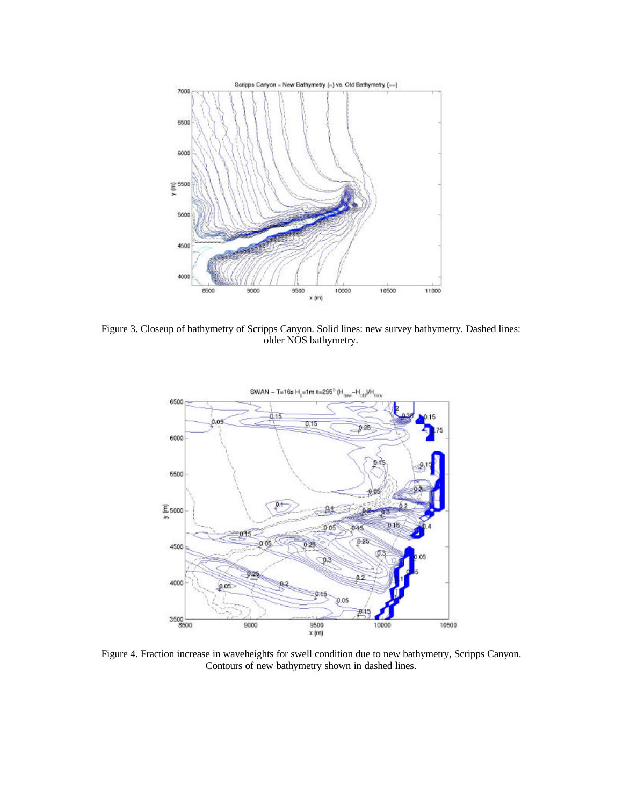

Figure 3. Closeup of bathymetry of Scripps Canyon. Solid lines: new survey bathymetry. Dashed lines: older NOS bathymetry.



Figure 4. Fraction increase in waveheights for swell condition due to new bathymetry, Scripps Canyon. Contours of new bathymetry shown in dashed lines.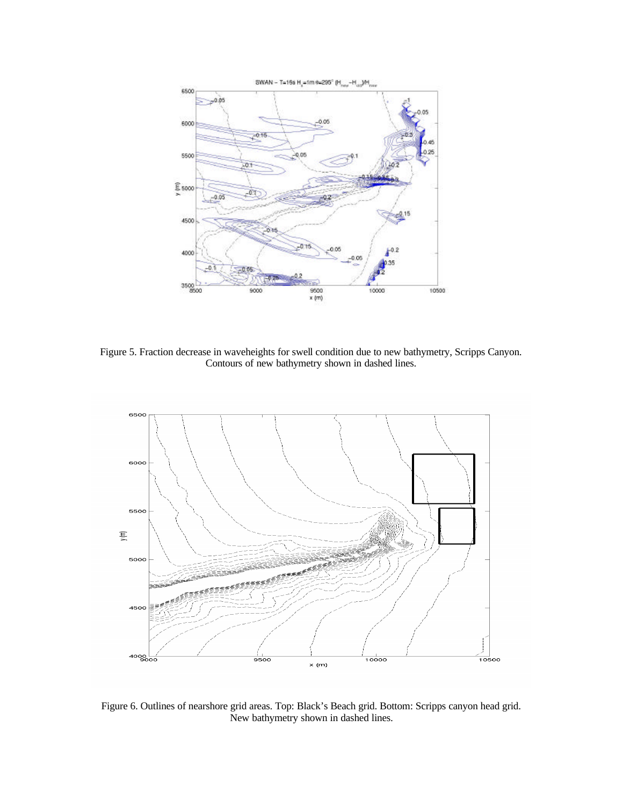

Figure 5. Fraction decrease in waveheights for swell condition due to new bathymetry, Scripps Canyon. Contours of new bathymetry shown in dashed lines.



Figure 6. Outlines of nearshore grid areas. Top: Black's Beach grid. Bottom: Scripps canyon head grid. New bathymetry shown in dashed lines.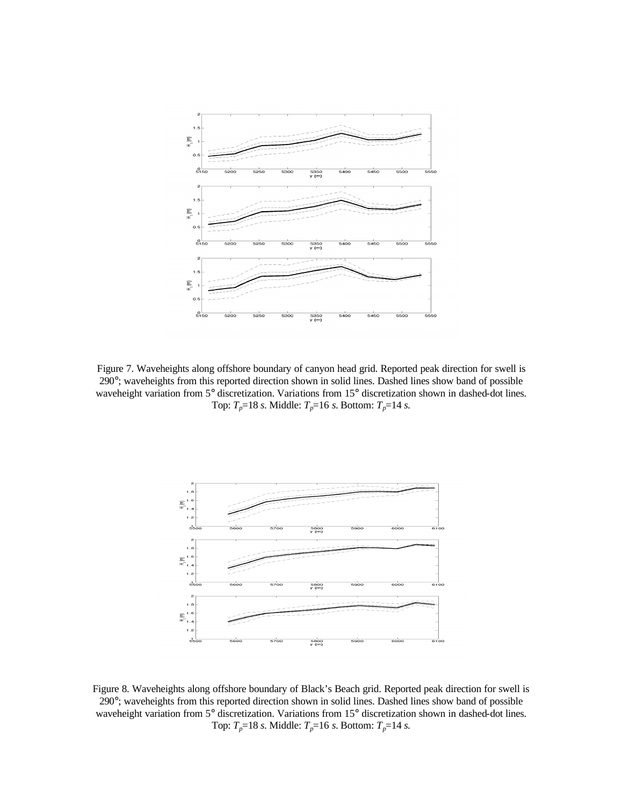

Figure 7. Waveheights along offshore boundary of canyon head grid. Reported peak direction for swell is 290°; waveheights from this reported direction shown in solid lines. Dashed lines show band of possible waveheight variation from 5° discretization. Variations from 15° discretization shown in dashed-dot lines. Top: *Tp*=18 *s*. Middle: *Tp*=16 *s*. Bottom: *Tp*=14 *s*.



Figure 8. Waveheights along offshore boundary of Black's Beach grid. Reported peak direction for swell is 290°; waveheights from this reported direction shown in solid lines. Dashed lines show band of possible waveheight variation from 5° discretization. Variations from 15° discretization shown in dashed-dot lines. Top: *Tp*=18 *s*. Middle: *Tp*=16 *s*. Bottom: *Tp*=14 *s*.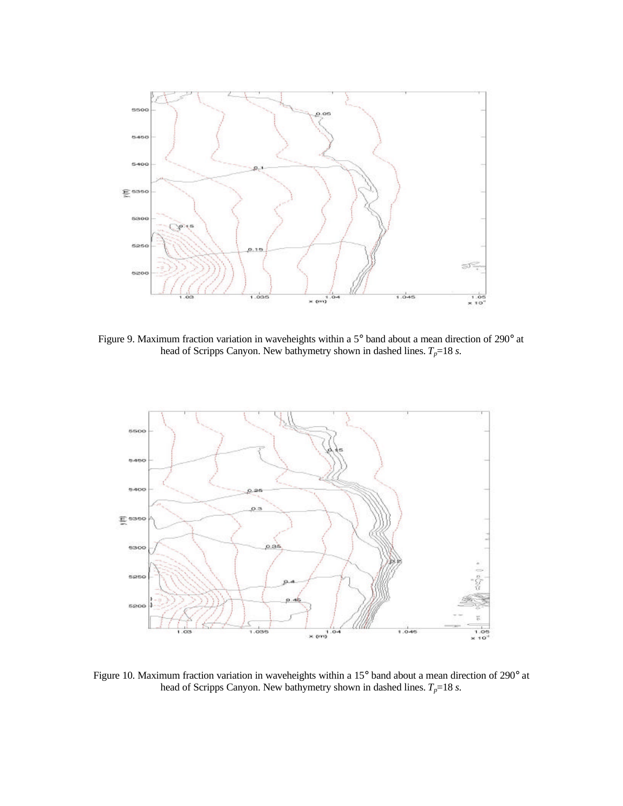

Figure 9. Maximum fraction variation in waveheights within a 5° band about a mean direction of 290° at head of Scripps Canyon. New bathymetry shown in dashed lines.  $T_p = 18$  *s*.



Figure 10. Maximum fraction variation in waveheights within a 15° band about a mean direction of 290° at head of Scripps Canyon. New bathymetry shown in dashed lines.  $T_p = 18$  *s*.